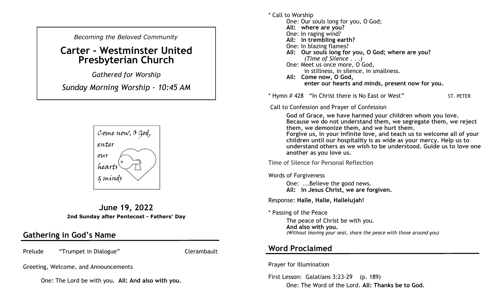*Becoming the Beloved Community* 

# **Carter - Westminster United Presbyterian Church**

*Gathered for Worship* 

*Sunday Morning Worship - 10:45 AM*



**June 19, 2022 2nd Sunday after Pentecost - Fathers' Day**

### **Gathering in God's Name**

Prelude "Trumpet in Dialogue" Clerambault

Greeting, Welcome, and Announcements

One: The Lord be with you**. All: And also with you.**

\* Call to Worship One: Our souls long for you, O God; **All: where are you?** One: In raging wind? **All: In trembling earth?** One: In blazing flames? **All: Our souls long for you, O God; where are you?** *(Time of Silence . . .)* One: Meet us once more, O God, in stillness, in silence, in smallness. **All: Come now, O God, enter our hearts and minds, present now for you.**

\* Hymn # 428 "In Christ there is No East or West" ST. PETER

Call to Confession and Prayer of Confession

**God of Grace, we have harmed your children whom you love. Because we do not understand them, we segregate them, we reject them, we demonize them, and we hurt them.** 

**Forgive us, in your infinite love, and teach us to welcome all of your children until our hospitality is as wide as your mercy. Help us to understand others as we wish to be understood. Guide us to love one another as you love us.**

Time of Silence for Personal Reflection

Words of Forgiveness

One: ...Believe the good news. **All: In Jesus Christ, we are forgiven.** 

Response: **Halle, Halle, Hallelujah!**

\* Passing of the Peace

The peace of Christ be with you. **And also with you.**  *(Without leaving your seat, share the peace with those around you)*

### **Word Proclaimed**

Prayer for Illumination

First Lesson: Galatians 3:23-29 (p. 189) One: The Word of the Lord. **All: Thanks be to God.**